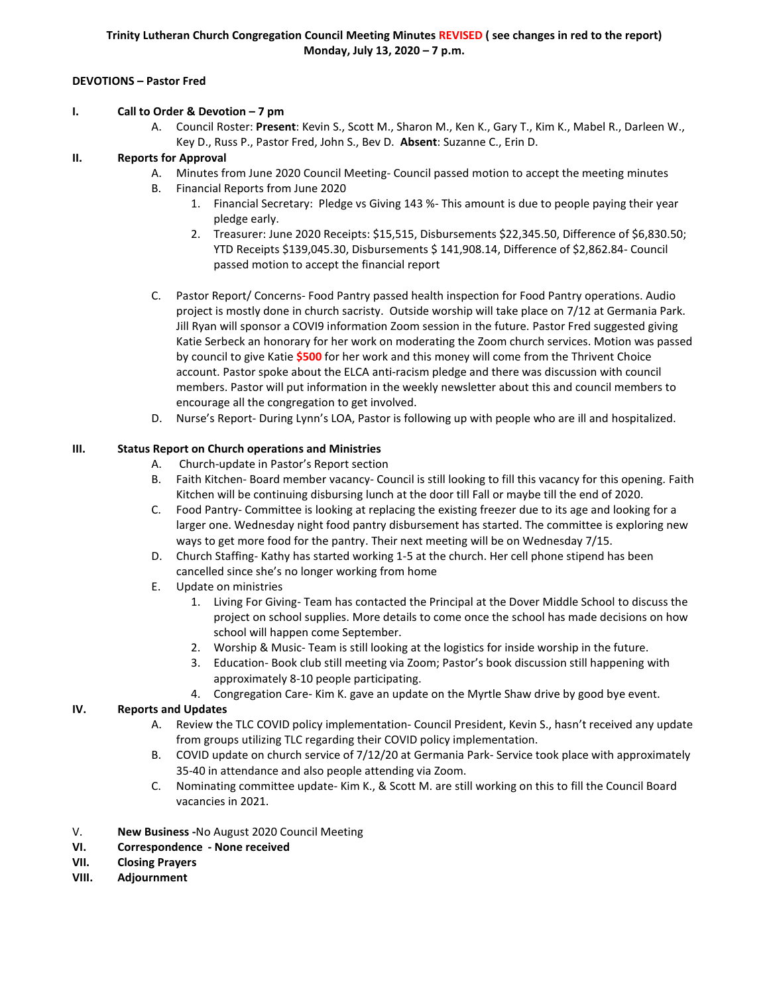## **DEVOTIONS – Pastor Fred**

### **I. Call to Order & Devotion – 7 pm**

A. Council Roster: **Present**: Kevin S., Scott M., Sharon M., Ken K., Gary T., Kim K., Mabel R., Darleen W., Key D., Russ P., Pastor Fred, John S., Bev D. **Absent**: Suzanne C., Erin D.

### **II. Reports for Approval**

- A. Minutes from June 2020 Council Meeting- Council passed motion to accept the meeting minutes
- B. Financial Reports from June 2020
	- 1. Financial Secretary: Pledge vs Giving 143 %- This amount is due to people paying their year pledge early.
	- 2. Treasurer: June 2020 Receipts: \$15,515, Disbursements \$22,345.50, Difference of \$6,830.50; YTD Receipts \$139,045.30, Disbursements \$ 141,908.14, Difference of \$2,862.84- Council passed motion to accept the financial report
- C. Pastor Report/ Concerns- Food Pantry passed health inspection for Food Pantry operations. Audio project is mostly done in church sacristy. Outside worship will take place on 7/12 at Germania Park. Jill Ryan will sponsor a COVI9 information Zoom session in the future. Pastor Fred suggested giving Katie Serbeck an honorary for her work on moderating the Zoom church services. Motion was passed by council to give Katie **\$500** for her work and this money will come from the Thrivent Choice account. Pastor spoke about the ELCA anti-racism pledge and there was discussion with council members. Pastor will put information in the weekly newsletter about this and council members to encourage all the congregation to get involved.
- D. Nurse's Report- During Lynn's LOA, Pastor is following up with people who are ill and hospitalized.

# **III. Status Report on Church operations and Ministries**

- A. Church-update in Pastor's Report section
- B. Faith Kitchen- Board member vacancy- Council is still looking to fill this vacancy for this opening. Faith Kitchen will be continuing disbursing lunch at the door till Fall or maybe till the end of 2020.
- C. Food Pantry- Committee is looking at replacing the existing freezer due to its age and looking for a larger one. Wednesday night food pantry disbursement has started. The committee is exploring new ways to get more food for the pantry. Their next meeting will be on Wednesday 7/15.
- D. Church Staffing- Kathy has started working 1-5 at the church. Her cell phone stipend has been cancelled since she's no longer working from home
- E. Update on ministries
	- 1. Living For Giving- Team has contacted the Principal at the Dover Middle School to discuss the project on school supplies. More details to come once the school has made decisions on how school will happen come September.
	- 2. Worship & Music- Team is still looking at the logistics for inside worship in the future.
	- 3. Education- Book club still meeting via Zoom; Pastor's book discussion still happening with approximately 8-10 people participating.
	- 4. Congregation Care- Kim K. gave an update on the Myrtle Shaw drive by good bye event.

### **IV. Reports and Updates**

- A. Review the TLC COVID policy implementation- Council President, Kevin S., hasn't received any update from groups utilizing TLC regarding their COVID policy implementation.
- B. COVID update on church service of 7/12/20 at Germania Park- Service took place with approximately 35-40 in attendance and also people attending via Zoom.
- C. Nominating committee update- Kim K., & Scott M. are still working on this to fill the Council Board vacancies in 2021.
- V. **New Business -**No August 2020 Council Meeting
- **VI. Correspondence - None received**
- **VII. Closing Prayers**
- **VIII. Adjournment**